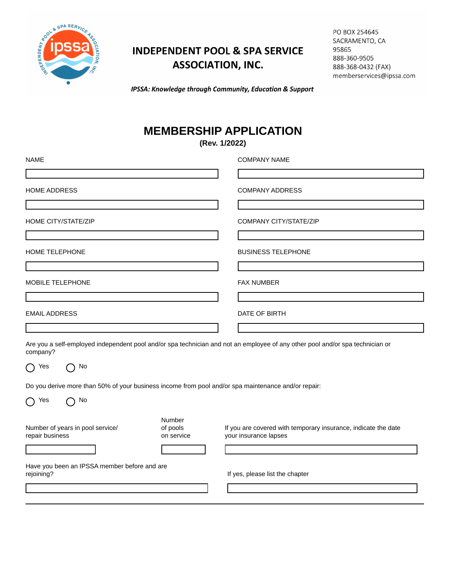

## **INDEPENDENT POOL & SPA SERVICE ASSOCIATION, INC.**

| PO BOX 254645            |
|--------------------------|
| SACRAMENTO, CA           |
| 95865                    |
| 888-360-9505             |
| 888-368-0432 (FAX)       |
| memberservices@ipssa.com |

IPSSA: Knowledge through Community, Education & Support

## **MEMBERSHIP APPLICATION**

**(Rev. 1/2022)**

| <b>NAME</b>                                                                                         |                                  | <b>COMPANY NAME</b>                                                                                                           |
|-----------------------------------------------------------------------------------------------------|----------------------------------|-------------------------------------------------------------------------------------------------------------------------------|
|                                                                                                     |                                  |                                                                                                                               |
| <b>HOME ADDRESS</b>                                                                                 |                                  | <b>COMPANY ADDRESS</b>                                                                                                        |
|                                                                                                     |                                  |                                                                                                                               |
| HOME CITY/STATE/ZIP                                                                                 |                                  | <b>COMPANY CITY/STATE/ZIP</b>                                                                                                 |
|                                                                                                     |                                  |                                                                                                                               |
| HOME TELEPHONE                                                                                      |                                  | <b>BUSINESS TELEPHONE</b>                                                                                                     |
| MOBILE TELEPHONE                                                                                    |                                  | <b>FAX NUMBER</b>                                                                                                             |
|                                                                                                     |                                  |                                                                                                                               |
| <b>EMAIL ADDRESS</b>                                                                                |                                  | DATE OF BIRTH                                                                                                                 |
|                                                                                                     |                                  |                                                                                                                               |
| company?                                                                                            |                                  | Are you a self-employed independent pool and/or spa technician and not an employee of any other pool and/or spa technician or |
| $\bigcap$ No<br>Yes<br>$\Box$                                                                       |                                  |                                                                                                                               |
| Do you derive more than 50% of your business income from pool and/or spa maintenance and/or repair: |                                  |                                                                                                                               |
| No<br>Yes                                                                                           |                                  |                                                                                                                               |
| Number of years in pool service/<br>repair business                                                 | Number<br>of pools<br>on service | If you are covered with temporary insurance, indicate the date<br>your insurance lapses                                       |
|                                                                                                     |                                  |                                                                                                                               |
| Have you been an IPSSA member before and are<br>rejoining?                                          |                                  | If yes, please list the chapter                                                                                               |
|                                                                                                     |                                  |                                                                                                                               |